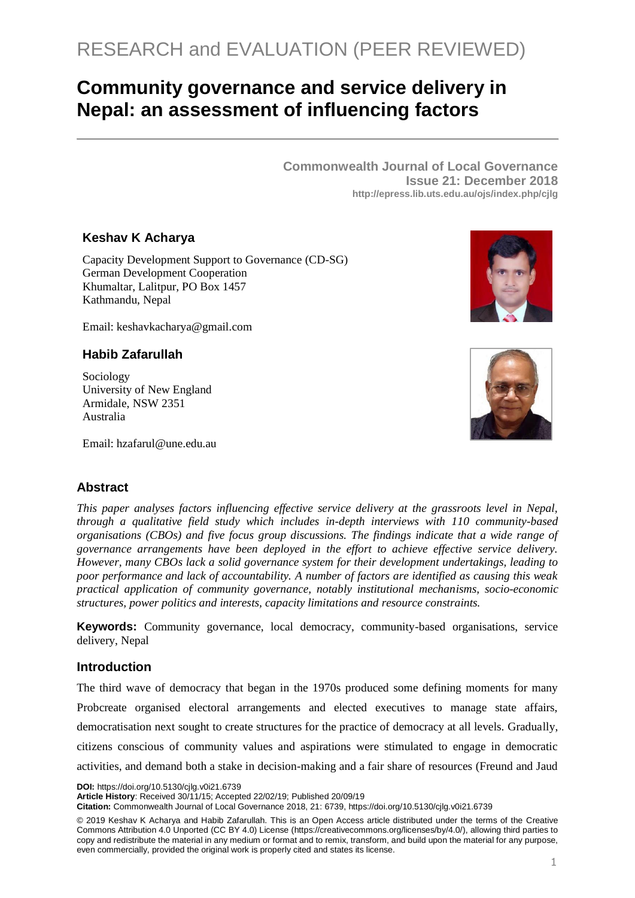# RESEARCH and EVALUATION (PEER REVIEWED)

## **Community governance and service delivery in Nepal: an assessment of influencing factors**

**Commonwealth Journal of Local Governance Issue 21: December 2018 http://epress.lib.uts.edu.au/ojs/index.php/cjlg**

## **Keshav K Acharya**

Capacity Development Support to Governance (CD-SG) German Development Cooperation Khumaltar, Lalitpur, PO Box 1457 Kathmandu, Nepal

Email: keshavkacharya@gmail.com

## **Habib Zafarullah**

Sociology University of New England Armidale, NSW 2351 Australia





Email: hzafarul@une.edu.au

## **Abstract**

*This paper analyses factors influencing effective service delivery at the grassroots level in Nepal, through a qualitative field study which includes in-depth interviews with 110 community-based organisations (CBOs) and five focus group discussions. The findings indicate that a wide range of governance arrangements have been deployed in the effort to achieve effective service delivery. However, many CBOs lack a solid governance system for their development undertakings, leading to poor performance and lack of accountability. A number of factors are identified as causing this weak practical application of community governance, notably institutional mechanisms, socio-economic structures, power politics and interests, capacity limitations and resource constraints.*

**Keywords:** Community governance, local democracy, community-based organisations, service delivery, Nepal

#### **Introduction**

The third wave of democracy that began in the 1970s produced some defining moments for many Probcreate organised electoral arrangements and elected executives to manage state affairs, democratisation next sought to create structures for the practice of democracy at all levels. Gradually, citizens conscious of community values and aspirations were stimulated to engage in democratic activities, and demand both a stake in decision-making and a fair share of resources (Freund and Jaud

**DOI:** https://doi.org/10.5130/cjlg.v0i21.6739

**Article History**: Received 30/11/15; Accepted 22/02/19; Published 20/09/19

**Citation:** Commonwealth Journal of Local Governance 2018, 21: 6739, https://doi.org/10.5130/cjlg.v0i21.6739

© 2019 Keshav K Acharya and Habib Zafarullah. This is an Open Access article distributed under the terms of the Creative Commons Attribution 4.0 Unported (CC BY 4.0) License [\(https://creativecommons.org/licenses/by/4.0/\)](https://creativecommons.org/licenses/by/4.0/), allowing third parties to copy and redistribute the material in any medium or format and to remix, transform, and build upon the material for any purpose, even commercially, provided the original work is properly cited and states its license.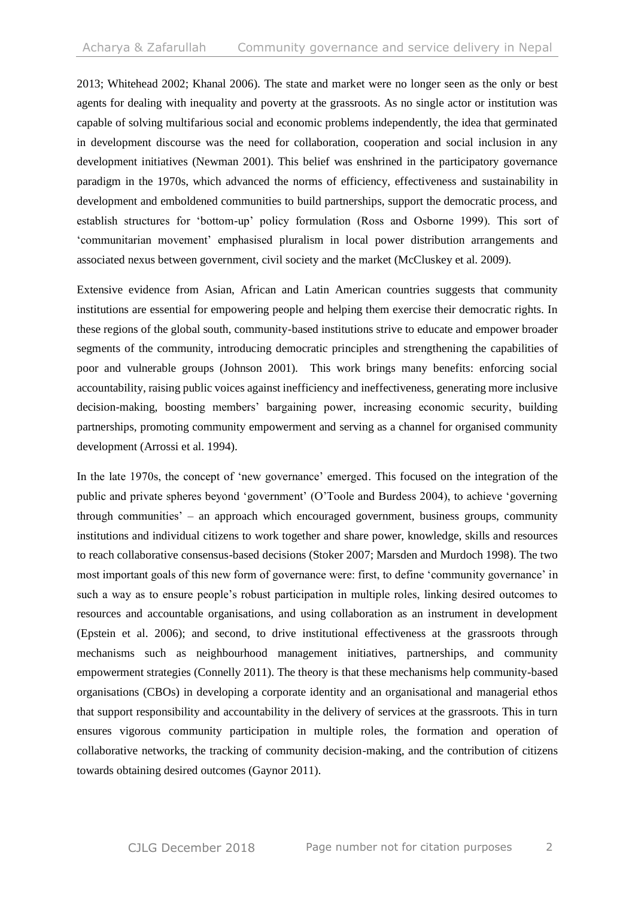2013; Whitehead 2002; Khanal 2006). The state and market were no longer seen as the only or best agents for dealing with inequality and poverty at the grassroots. As no single actor or institution was capable of solving multifarious social and economic problems independently, the idea that germinated in development discourse was the need for collaboration, cooperation and social inclusion in any development initiatives (Newman 2001). This belief was enshrined in the participatory governance paradigm in the 1970s, which advanced the norms of efficiency, effectiveness and sustainability in development and emboldened communities to build partnerships, support the democratic process, and establish structures for 'bottom-up' policy formulation (Ross and Osborne 1999). This sort of 'communitarian movement' emphasised pluralism in local power distribution arrangements and associated nexus between government, civil society and the market (McCluskey et al. 2009).

Extensive evidence from Asian, African and Latin American countries suggests that community institutions are essential for empowering people and helping them exercise their democratic rights. In these regions of the global south, community-based institutions strive to educate and empower broader segments of the community, introducing democratic principles and strengthening the capabilities of poor and vulnerable groups (Johnson 2001). This work brings many benefits: enforcing social accountability, raising public voices against inefficiency and ineffectiveness, generating more inclusive decision-making, boosting members' bargaining power, increasing economic security, building partnerships, promoting community empowerment and serving as a channel for organised community development (Arrossi et al. 1994).

In the late 1970s, the concept of 'new governance' emerged. This focused on the integration of the public and private spheres beyond 'government' (O'Toole and Burdess 2004), to achieve 'governing through communities' – an approach which encouraged government, business groups, community institutions and individual citizens to work together and share power, knowledge, skills and resources to reach collaborative consensus-based decisions (Stoker 2007; Marsden and Murdoch 1998). The two most important goals of this new form of governance were: first, to define 'community governance' in such a way as to ensure people's robust participation in multiple roles, linking desired outcomes to resources and accountable organisations, and using collaboration as an instrument in development (Epstein et al. 2006); and second, to drive institutional effectiveness at the grassroots through mechanisms such as neighbourhood management initiatives, partnerships, and community empowerment strategies (Connelly 2011). The theory is that these mechanisms help community-based organisations (CBOs) in developing a corporate identity and an organisational and managerial ethos that support responsibility and accountability in the delivery of services at the grassroots. This in turn ensures vigorous community participation in multiple roles, the formation and operation of collaborative networks, the tracking of community decision-making, and the contribution of citizens towards obtaining desired outcomes (Gaynor 2011).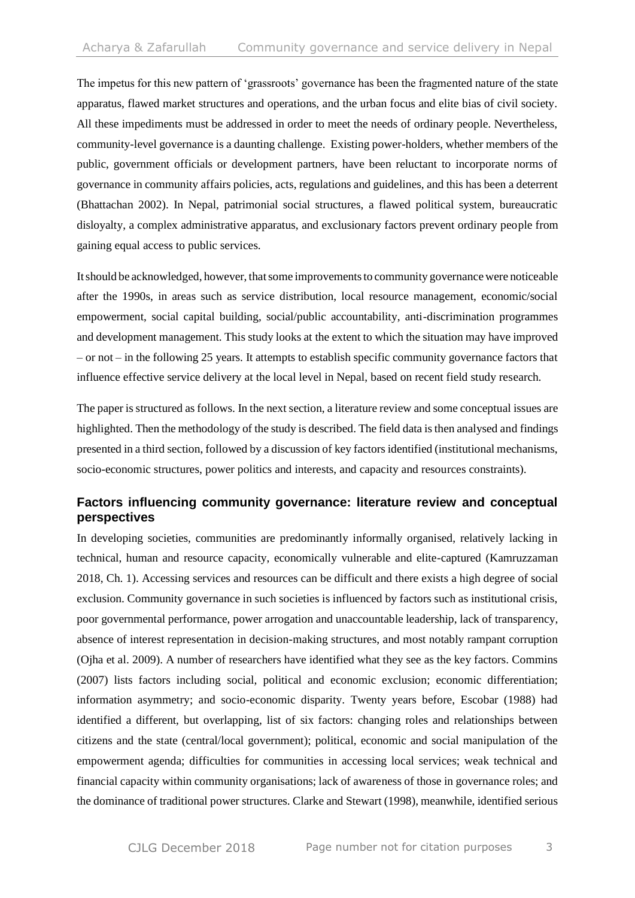The impetus for this new pattern of 'grassroots' governance has been the fragmented nature of the state apparatus, flawed market structures and operations, and the urban focus and elite bias of civil society. All these impediments must be addressed in order to meet the needs of ordinary people. Nevertheless, community-level governance is a daunting challenge. Existing power-holders, whether members of the public, government officials or development partners, have been reluctant to incorporate norms of governance in community affairs policies, acts, regulations and guidelines, and this has been a deterrent (Bhattachan 2002). In Nepal, patrimonial social structures, a flawed political system, bureaucratic disloyalty, a complex administrative apparatus, and exclusionary factors prevent ordinary people from gaining equal access to public services.

Itshould be acknowledged, however, thatsome improvementsto community governancewere noticeable after the 1990s, in areas such as service distribution, local resource management, economic/social empowerment, social capital building, social/public accountability, anti-discrimination programmes and development management. This study looks at the extent to which the situation may have improved – or not – in the following 25 years. It attempts to establish specific community governance factors that influence effective service delivery at the local level in Nepal, based on recent field study research.

The paper is structured asfollows. In the next section, a literature review and some conceptual issues are highlighted. Then the methodology of the study is described. The field data is then analysed and findings presented in a third section, followed by a discussion of key factors identified (institutional mechanisms, socio-economic structures, power politics and interests, and capacity and resources constraints).

## **Factors influencing community governance: literature review and conceptual perspectives**

In developing societies, communities are predominantly informally organised, relatively lacking in technical, human and resource capacity, economically vulnerable and elite-captured (Kamruzzaman 2018, Ch. 1). Accessing services and resources can be difficult and there exists a high degree of social exclusion. Community governance in such societies is influenced by factors such as institutional crisis, poor governmental performance, power arrogation and unaccountable leadership, lack of transparency, absence of interest representation in decision-making structures, and most notably rampant corruption (Ojha et al. 2009). A number of researchers have identified what they see as the key factors. Commins (2007) lists factors including social, political and economic exclusion; economic differentiation; information asymmetry; and socio-economic disparity. Twenty years before, Escobar (1988) had identified a different, but overlapping, list of six factors: changing roles and relationships between citizens and the state (central/local government); political, economic and social manipulation of the empowerment agenda; difficulties for communities in accessing local services; weak technical and financial capacity within community organisations; lack of awareness of those in governance roles; and the dominance of traditional power structures. Clarke and Stewart (1998), meanwhile, identified serious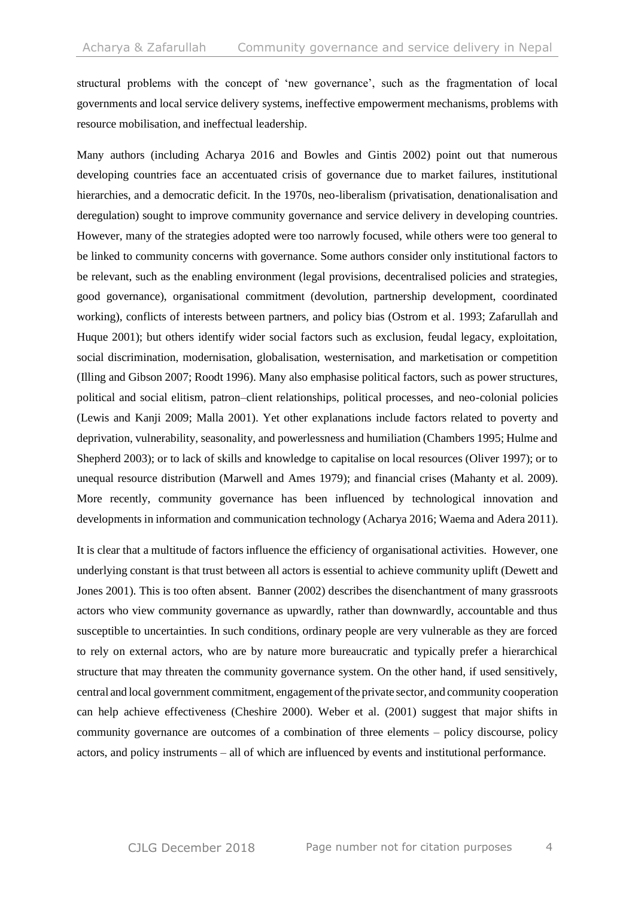structural problems with the concept of 'new governance', such as the fragmentation of local governments and local service delivery systems, ineffective empowerment mechanisms, problems with resource mobilisation, and ineffectual leadership.

Many authors (including Acharya 2016 and Bowles and Gintis 2002) point out that numerous developing countries face an accentuated crisis of governance due to market failures, institutional hierarchies, and a democratic deficit. In the 1970s, neo-liberalism (privatisation, denationalisation and deregulation) sought to improve community governance and service delivery in developing countries. However, many of the strategies adopted were too narrowly focused, while others were too general to be linked to community concerns with governance. Some authors consider only institutional factors to be relevant, such as the enabling environment (legal provisions, decentralised policies and strategies, good governance), organisational commitment (devolution, partnership development, coordinated working), conflicts of interests between partners, and policy bias (Ostrom et al. 1993; Zafarullah and Huque 2001); but others identify wider social factors such as exclusion, feudal legacy, exploitation, social discrimination, modernisation, globalisation, westernisation, and marketisation or competition (Illing and Gibson 2007; Roodt 1996). Many also emphasise political factors, such as power structures, political and social elitism, patron–client relationships, political processes, and neo-colonial policies (Lewis and Kanji 2009; Malla 2001). Yet other explanations include factors related to poverty and deprivation, vulnerability, seasonality, and powerlessness and humiliation (Chambers 1995; Hulme and Shepherd 2003); or to lack of skills and knowledge to capitalise on local resources (Oliver 1997); or to unequal resource distribution (Marwell and Ames 1979); and financial crises (Mahanty et al. 2009). More recently, community governance has been influenced by technological innovation and developments in information and communication technology (Acharya 2016; Waema and Adera 2011).

It is clear that a multitude of factors influence the efficiency of organisational activities. However, one underlying constant is that trust between all actors is essential to achieve community uplift (Dewett and Jones 2001). This is too often absent. Banner (2002) describes the disenchantment of many grassroots actors who view community governance as upwardly, rather than downwardly, accountable and thus susceptible to uncertainties. In such conditions, ordinary people are very vulnerable as they are forced to rely on external actors, who are by nature more bureaucratic and typically prefer a hierarchical structure that may threaten the community governance system. On the other hand, if used sensitively, central and local government commitment, engagement ofthe private sector, and community cooperation can help achieve effectiveness (Cheshire 2000). Weber et al. (2001) suggest that major shifts in community governance are outcomes of a combination of three elements – policy discourse, policy actors, and policy instruments – all of which are influenced by events and institutional performance.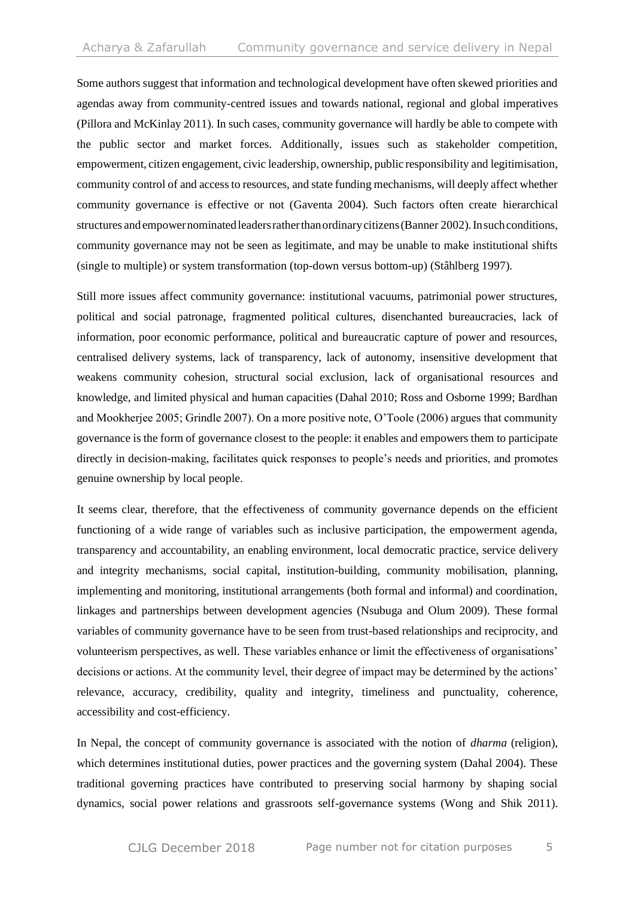Some authors suggest that information and technological development have often skewed priorities and agendas away from community-centred issues and towards national, regional and global imperatives (Pillora and McKinlay 2011). In such cases, community governance will hardly be able to compete with the public sector and market forces. Additionally, issues such as stakeholder competition, empowerment, citizen engagement, civic leadership, ownership, public responsibility and legitimisation, community control of and access to resources, and state funding mechanisms, will deeply affect whether community governance is effective or not (Gaventa 2004). Such factors often create hierarchical structures and empower nominated leaders rather than ordinary citizens (Banner 2002). In such conditions, community governance may not be seen as legitimate, and may be unable to make institutional shifts (single to multiple) or system transformation (top-down versus bottom-up) (Stâhlberg 1997).

Still more issues affect community governance: institutional vacuums, patrimonial power structures, political and social patronage, fragmented political cultures, disenchanted bureaucracies, lack of information, poor economic performance, political and bureaucratic capture of power and resources, centralised delivery systems, lack of transparency, lack of autonomy, insensitive development that weakens community cohesion, structural social exclusion, lack of organisational resources and knowledge, and limited physical and human capacities (Dahal 2010; Ross and Osborne 1999; Bardhan and Mookherjee 2005; Grindle 2007). On a more positive note, O'Toole (2006) argues that community governance is the form of governance closest to the people: it enables and empowers them to participate directly in decision-making, facilitates quick responses to people's needs and priorities, and promotes genuine ownership by local people.

It seems clear, therefore, that the effectiveness of community governance depends on the efficient functioning of a wide range of variables such as inclusive participation, the empowerment agenda, transparency and accountability, an enabling environment, local democratic practice, service delivery and integrity mechanisms, social capital, institution-building, community mobilisation, planning, implementing and monitoring, institutional arrangements (both formal and informal) and coordination, linkages and partnerships between development agencies (Nsubuga and Olum 2009). These formal variables of community governance have to be seen from trust-based relationships and reciprocity, and volunteerism perspectives, as well. These variables enhance or limit the effectiveness of organisations' decisions or actions. At the community level, their degree of impact may be determined by the actions' relevance, accuracy, credibility, quality and integrity, timeliness and punctuality, coherence, accessibility and cost-efficiency.

In Nepal, the concept of community governance is associated with the notion of *dharma* (religion), which determines institutional duties, power practices and the governing system (Dahal 2004). These traditional governing practices have contributed to preserving social harmony by shaping social dynamics, social power relations and grassroots self-governance systems (Wong and Shik 2011).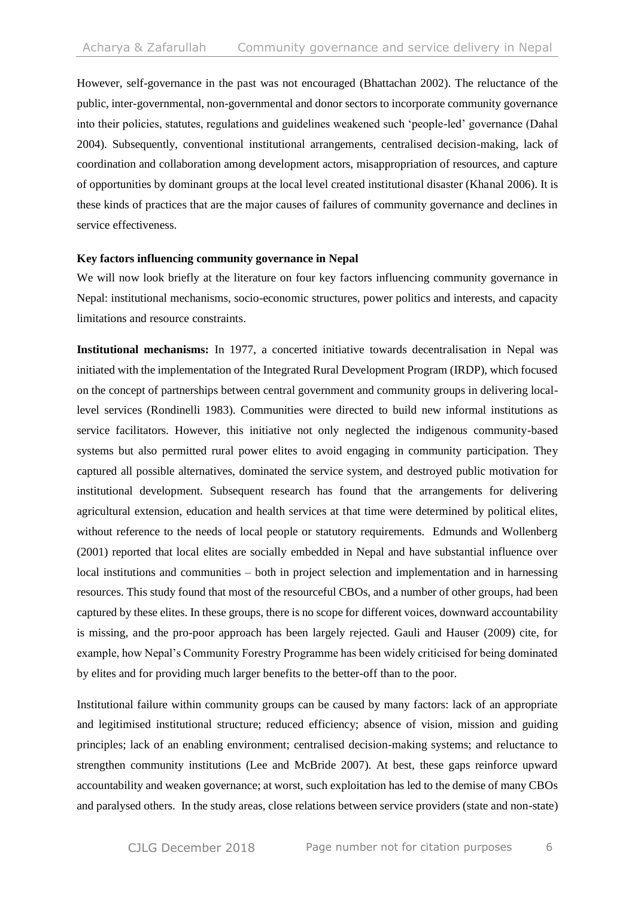However, self-governance in the past was not encouraged (Bhattachan 2002). The reluctance of the public, inter-governmental, non-governmental and donor sectors to incorporate community governance into their policies, statutes, regulations and guidelines weakened such 'people-led' governance (Dahal 2004). Subsequently, conventional institutional arrangements, centralised decision-making, lack of coordination and collaboration among development actors, misappropriation of resources, and capture of opportunities by dominant groups at the local level created institutional disaster (Khanal 2006). It is these kinds of practices that are the major causes of failures of community governance and declines in service effectiveness.

#### **Key factors influencing community governance in Nepal**

We will now look briefly at the literature on four key factors influencing community governance in Nepal: institutional mechanisms, socio-economic structures, power politics and interests, and capacity limitations and resource constraints.

**Institutional mechanisms:** In 1977, a concerted initiative towards decentralisation in Nepal was initiated with the implementation of the Integrated Rural Development Program (IRDP), which focused on the concept of partnerships between central government and community groups in delivering locallevel services (Rondinelli 1983). Communities were directed to build new informal institutions as service facilitators. However, this initiative not only neglected the indigenous community-based systems but also permitted rural power elites to avoid engaging in community participation. They captured all possible alternatives, dominated the service system, and destroyed public motivation for institutional development. Subsequent research has found that the arrangements for delivering agricultural extension, education and health services at that time were determined by political elites, without reference to the needs of local people or statutory requirements. Edmunds and Wollenberg (2001) reported that local elites are socially embedded in Nepal and have substantial influence over local institutions and communities – both in project selection and implementation and in harnessing resources. This study found that most of the resourceful CBOs, and a number of other groups, had been captured by these elites. In these groups, there is no scope for different voices, downward accountability is missing, and the pro-poor approach has been largely rejected. Gauli and Hauser (2009) cite, for example, how Nepal's Community Forestry Programme has been widely criticised for being dominated by elites and for providing much larger benefits to the better-off than to the poor.

Institutional failure within community groups can be caused by many factors: lack of an appropriate and legitimised institutional structure; reduced efficiency; absence of vision, mission and guiding principles; lack of an enabling environment; centralised decision-making systems; and reluctance to strengthen community institutions (Lee and McBride 2007). At best, these gaps reinforce upward accountability and weaken governance; at worst, such exploitation has led to the demise of many CBOs and paralysed others. In the study areas, close relations between service providers (state and non-state)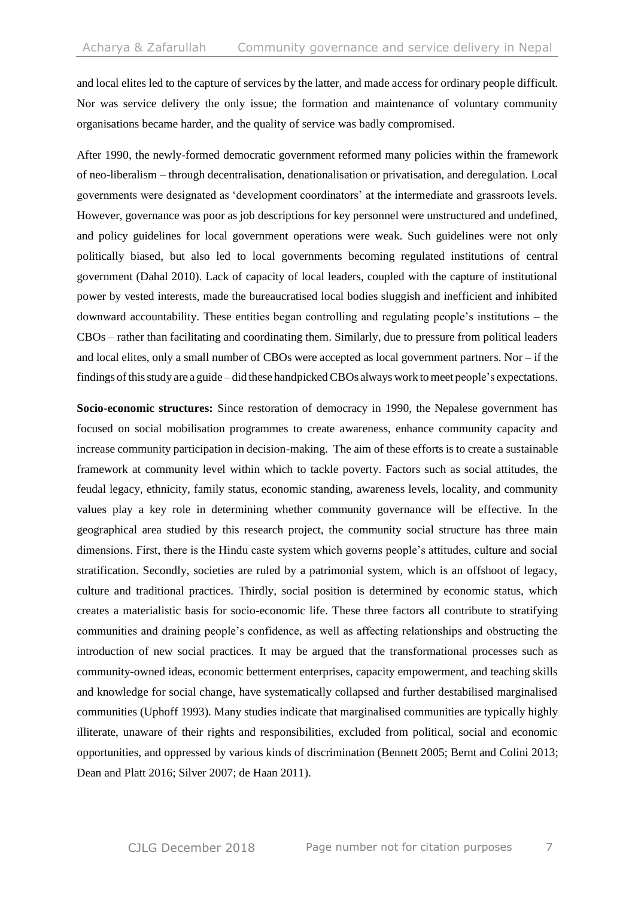and local elites led to the capture of services by the latter, and made access for ordinary people difficult. Nor was service delivery the only issue; the formation and maintenance of voluntary community organisations became harder, and the quality of service was badly compromised.

After 1990, the newly-formed democratic government reformed many policies within the framework of neo-liberalism – through decentralisation, denationalisation or privatisation, and deregulation. Local governments were designated as 'development coordinators' at the intermediate and grassroots levels. However, governance was poor as job descriptions for key personnel were unstructured and undefined, and policy guidelines for local government operations were weak. Such guidelines were not only politically biased, but also led to local governments becoming regulated institutions of central government (Dahal 2010). Lack of capacity of local leaders, coupled with the capture of institutional power by vested interests, made the bureaucratised local bodies sluggish and inefficient and inhibited downward accountability. These entities began controlling and regulating people's institutions – the CBOs – rather than facilitating and coordinating them. Similarly, due to pressure from political leaders and local elites, only a small number of CBOs were accepted as local government partners. Nor – if the findings of this study are a guide – did these handpicked CBOs always work to meet people's expectations.

**Socio-economic structures:** Since restoration of democracy in 1990, the Nepalese government has focused on social mobilisation programmes to create awareness, enhance community capacity and increase community participation in decision-making. The aim of these efforts is to create a sustainable framework at community level within which to tackle poverty. Factors such as social attitudes, the feudal legacy, ethnicity, family status, economic standing, awareness levels, locality, and community values play a key role in determining whether community governance will be effective. In the geographical area studied by this research project, the community social structure has three main dimensions. First, there is the Hindu caste system which governs people's attitudes, culture and social stratification. Secondly, societies are ruled by a patrimonial system, which is an offshoot of legacy, culture and traditional practices. Thirdly, social position is determined by economic status, which creates a materialistic basis for socio-economic life. These three factors all contribute to stratifying communities and draining people's confidence, as well as affecting relationships and obstructing the introduction of new social practices. It may be argued that the transformational processes such as community-owned ideas, economic betterment enterprises, capacity empowerment, and teaching skills and knowledge for social change, have systematically collapsed and further destabilised marginalised communities (Uphoff 1993). Many studies indicate that marginalised communities are typically highly illiterate, unaware of their rights and responsibilities, excluded from political, social and economic opportunities, and oppressed by various kinds of discrimination (Bennett 2005; Bernt and Colini 2013; Dean and Platt 2016; Silver 2007; de Haan 2011).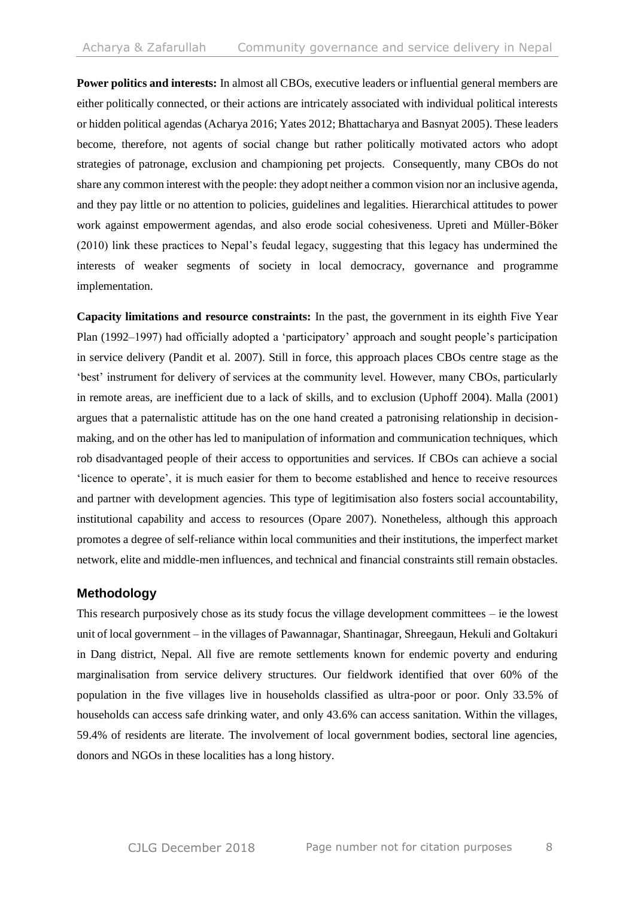**Power politics and interests:** In almost all CBOs, executive leaders or influential general members are either politically connected, or their actions are intricately associated with individual political interests or hidden political agendas (Acharya 2016; Yates 2012; Bhattacharya and Basnyat 2005). These leaders become, therefore, not agents of social change but rather politically motivated actors who adopt strategies of patronage, exclusion and championing pet projects. Consequently, many CBOs do not share any common interest with the people: they adopt neither a common vision nor an inclusive agenda, and they pay little or no attention to policies, guidelines and legalities. Hierarchical attitudes to power work against empowerment agendas, and also erode social cohesiveness. Upreti and Müller-Böker (2010) link these practices to Nepal's feudal legacy, suggesting that this legacy has undermined the interests of weaker segments of society in local democracy, governance and programme implementation.

**Capacity limitations and resource constraints:** In the past, the government in its eighth Five Year Plan (1992–1997) had officially adopted a 'participatory' approach and sought people's participation in service delivery (Pandit et al. 2007). Still in force, this approach places CBOs centre stage as the 'best' instrument for delivery of services at the community level. However, many CBOs, particularly in remote areas, are inefficient due to a lack of skills, and to exclusion (Uphoff 2004). Malla (2001) argues that a paternalistic attitude has on the one hand created a patronising relationship in decisionmaking, and on the other has led to manipulation of information and communication techniques, which rob disadvantaged people of their access to opportunities and services. If CBOs can achieve a social 'licence to operate', it is much easier for them to become established and hence to receive resources and partner with development agencies. This type of legitimisation also fosters social accountability, institutional capability and access to resources (Opare 2007). Nonetheless, although this approach promotes a degree of self-reliance within local communities and their institutions, the imperfect market network, elite and middle-men influences, and technical and financial constraints still remain obstacles.

## **Methodology**

This research purposively chose as its study focus the village development committees – ie the lowest unit of local government – in the villages of Pawannagar, Shantinagar, Shreegaun, Hekuli and Goltakuri in Dang district, Nepal. All five are remote settlements known for endemic poverty and enduring marginalisation from service delivery structures. Our fieldwork identified that over 60% of the population in the five villages live in households classified as ultra-poor or poor. Only 33.5% of households can access safe drinking water, and only 43.6% can access sanitation. Within the villages, 59.4% of residents are literate. The involvement of local government bodies, sectoral line agencies, donors and NGOs in these localities has a long history.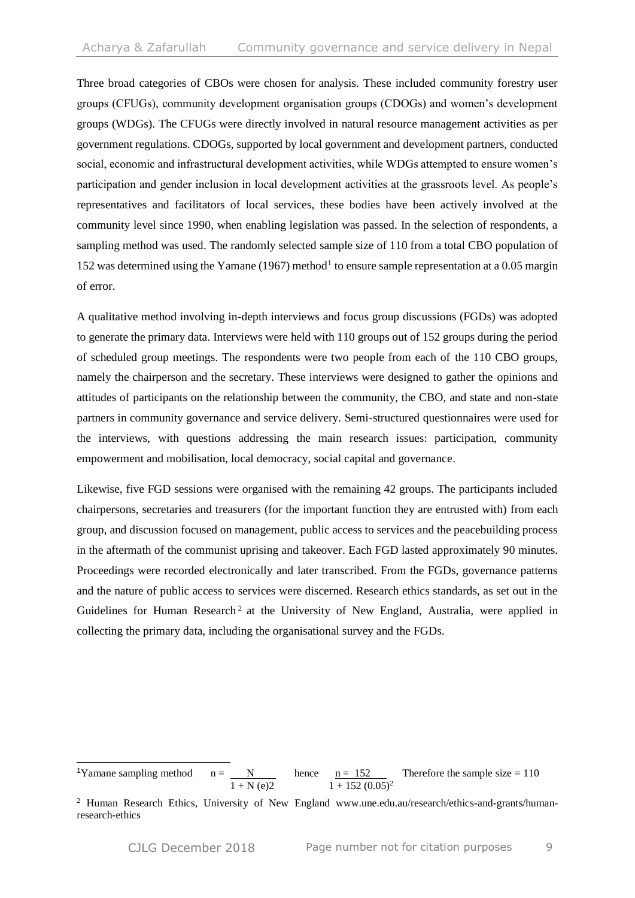Three broad categories of CBOs were chosen for analysis. These included community forestry user groups (CFUGs), community development organisation groups (CDOGs) and women's development groups (WDGs). The CFUGs were directly involved in natural resource management activities as per government regulations. CDOGs, supported by local government and development partners, conducted social, economic and infrastructural development activities, while WDGs attempted to ensure women's participation and gender inclusion in local development activities at the grassroots level. As people's representatives and facilitators of local services, these bodies have been actively involved at the community level since 1990, when enabling legislation was passed. In the selection of respondents, a sampling method was used. The randomly selected sample size of 110 from a total CBO population of 152 was determined using the Yamane (1967) method<sup>1</sup> to ensure sample representation at a 0.05 margin of error.

A qualitative method involving in-depth interviews and focus group discussions (FGDs) was adopted to generate the primary data. Interviews were held with 110 groups out of 152 groups during the period of scheduled group meetings. The respondents were two people from each of the 110 CBO groups, namely the chairperson and the secretary. These interviews were designed to gather the opinions and attitudes of participants on the relationship between the community, the CBO, and state and non-state partners in community governance and service delivery. Semi-structured questionnaires were used for the interviews, with questions addressing the main research issues: participation, community empowerment and mobilisation, local democracy, social capital and governance.

Likewise, five FGD sessions were organised with the remaining 42 groups. The participants included chairpersons, secretaries and treasurers (for the important function they are entrusted with) from each group, and discussion focused on management, public access to services and the peacebuilding process in the aftermath of the communist uprising and takeover. Each FGD lasted approximately 90 minutes. Proceedings were recorded electronically and later transcribed. From the FGDs, governance patterns and the nature of public access to services were discerned. Research ethics standards, as set out in the Guidelines for Human Research<sup>2</sup> at the University of New England, Australia, were applied in collecting the primary data, including the organisational survey and the FGDs.

<sup>-</sup><sup>1</sup>Yamane sampling method  $n = N$  hence  $n = 152$  Therefore the sample size = 110  $1 + N$  (e)2  $1 + 152$  (0.05)<sup>2</sup>

<sup>&</sup>lt;sup>2</sup> Human Research Ethics, University of New England www.une.edu.au/research/ethics-and-grants/humanresearch-ethics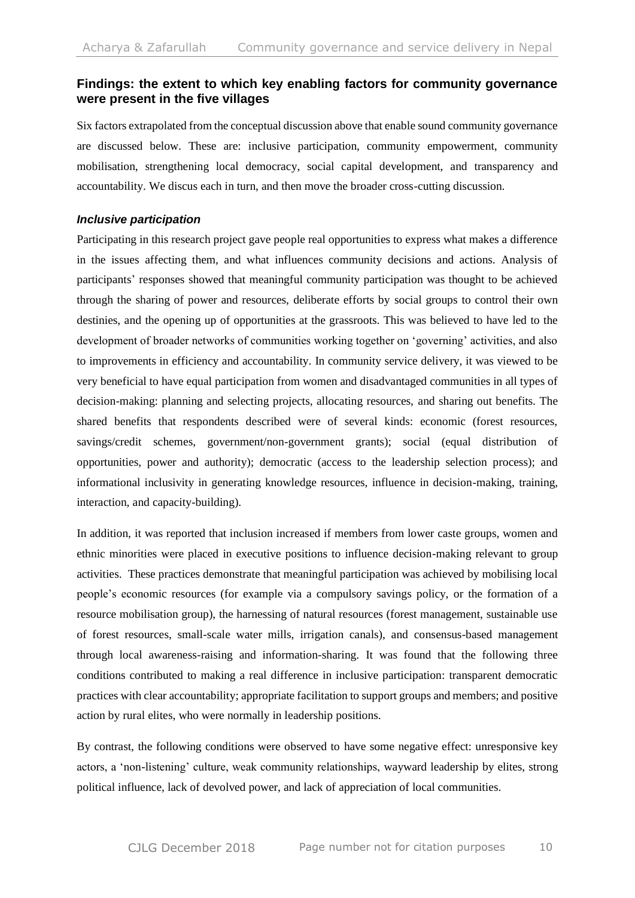## **Findings: the extent to which key enabling factors for community governance were present in the five villages**

Six factors extrapolated from the conceptual discussion above that enable sound community governance are discussed below. These are: inclusive participation, community empowerment, community mobilisation, strengthening local democracy, social capital development, and transparency and accountability. We discus each in turn, and then move the broader cross-cutting discussion.

#### *Inclusive participation*

Participating in this research project gave people real opportunities to express what makes a difference in the issues affecting them, and what influences community decisions and actions. Analysis of participants' responses showed that meaningful community participation was thought to be achieved through the sharing of power and resources, deliberate efforts by social groups to control their own destinies, and the opening up of opportunities at the grassroots. This was believed to have led to the development of broader networks of communities working together on 'governing' activities, and also to improvements in efficiency and accountability. In community service delivery, it was viewed to be very beneficial to have equal participation from women and disadvantaged communities in all types of decision-making: planning and selecting projects, allocating resources, and sharing out benefits. The shared benefits that respondents described were of several kinds: economic (forest resources, savings/credit schemes, government/non-government grants); social (equal distribution of opportunities, power and authority); democratic (access to the leadership selection process); and informational inclusivity in generating knowledge resources, influence in decision-making, training, interaction, and capacity-building).

In addition, it was reported that inclusion increased if members from lower caste groups, women and ethnic minorities were placed in executive positions to influence decision-making relevant to group activities. These practices demonstrate that meaningful participation was achieved by mobilising local people's economic resources (for example via a compulsory savings policy, or the formation of a resource mobilisation group), the harnessing of natural resources (forest management, sustainable use of forest resources, small-scale water mills, irrigation canals), and consensus-based management through local awareness-raising and information-sharing. It was found that the following three conditions contributed to making a real difference in inclusive participation: transparent democratic practices with clear accountability; appropriate facilitation to support groups and members; and positive action by rural elites, who were normally in leadership positions.

By contrast, the following conditions were observed to have some negative effect: unresponsive key actors, a 'non-listening' culture, weak community relationships, wayward leadership by elites, strong political influence, lack of devolved power, and lack of appreciation of local communities.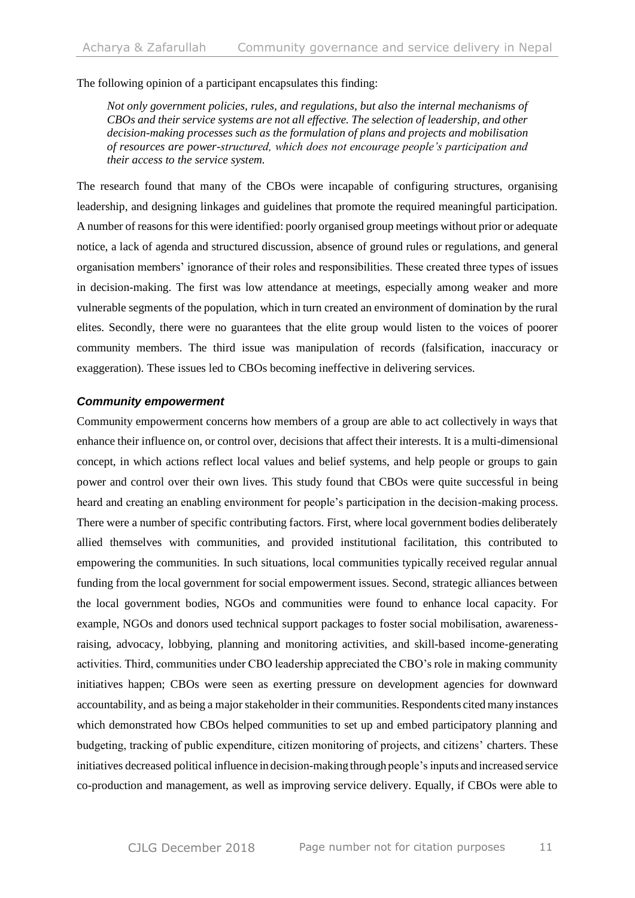The following opinion of a participant encapsulates this finding:

*Not only government policies, rules, and regulations, but also the internal mechanisms of CBOs and their service systems are not all effective. The selection of leadership, and other decision-making processes such as the formulation of plans and projects and mobilisation of resources are power-structured, which does not encourage people's participation and their access to the service system.*

The research found that many of the CBOs were incapable of configuring structures, organising leadership, and designing linkages and guidelines that promote the required meaningful participation. A number of reasons for this were identified: poorly organised group meetings without prior or adequate notice, a lack of agenda and structured discussion, absence of ground rules or regulations, and general organisation members' ignorance of their roles and responsibilities. These created three types of issues in decision-making. The first was low attendance at meetings, especially among weaker and more vulnerable segments of the population, which in turn created an environment of domination by the rural elites. Secondly, there were no guarantees that the elite group would listen to the voices of poorer community members. The third issue was manipulation of records (falsification, inaccuracy or exaggeration). These issues led to CBOs becoming ineffective in delivering services.

#### *Community empowerment*

Community empowerment concerns how members of a group are able to act collectively in ways that enhance their influence on, or control over, decisions that affect their interests. It is a multi-dimensional concept, in which actions reflect local values and belief systems, and help people or groups to gain power and control over their own lives. This study found that CBOs were quite successful in being heard and creating an enabling environment for people's participation in the decision-making process. There were a number of specific contributing factors. First, where local government bodies deliberately allied themselves with communities, and provided institutional facilitation, this contributed to empowering the communities. In such situations, local communities typically received regular annual funding from the local government for social empowerment issues. Second, strategic alliances between the local government bodies, NGOs and communities were found to enhance local capacity. For example, NGOs and donors used technical support packages to foster social mobilisation, awarenessraising, advocacy, lobbying, planning and monitoring activities, and skill-based income-generating activities. Third, communities under CBO leadership appreciated the CBO's role in making community initiatives happen; CBOs were seen as exerting pressure on development agencies for downward accountability, and as being a major stakeholder in their communities.Respondents cited many instances which demonstrated how CBOs helped communities to set up and embed participatory planning and budgeting, tracking of public expenditure, citizen monitoring of projects, and citizens' charters. These initiatives decreased political influence in decision-making through people's inputs and increased service co-production and management, as well as improving service delivery. Equally, if CBOs were able to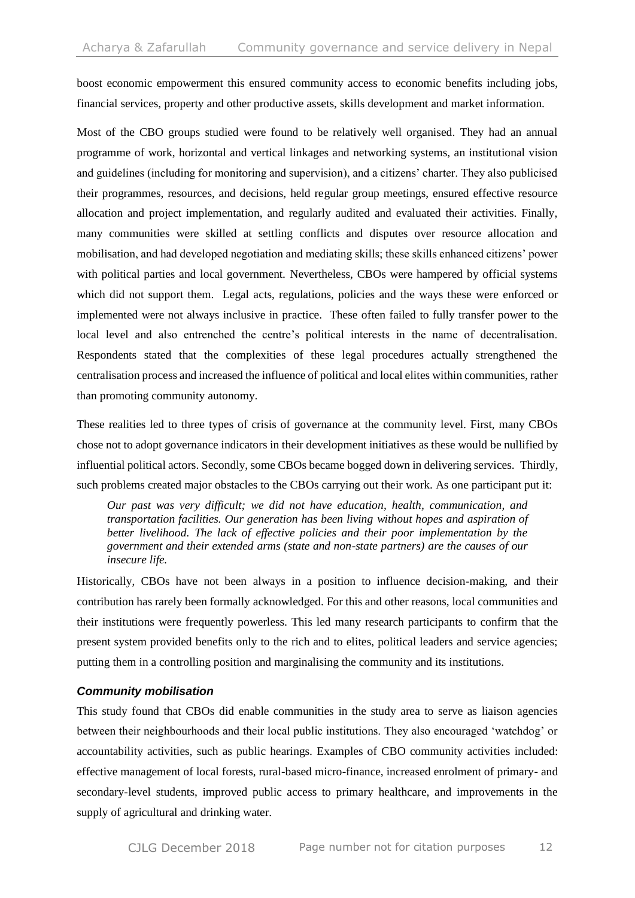boost economic empowerment this ensured community access to economic benefits including jobs, financial services, property and other productive assets, skills development and market information.

Most of the CBO groups studied were found to be relatively well organised. They had an annual programme of work, horizontal and vertical linkages and networking systems, an institutional vision and guidelines (including for monitoring and supervision), and a citizens' charter. They also publicised their programmes, resources, and decisions, held regular group meetings, ensured effective resource allocation and project implementation, and regularly audited and evaluated their activities. Finally, many communities were skilled at settling conflicts and disputes over resource allocation and mobilisation, and had developed negotiation and mediating skills; these skills enhanced citizens' power with political parties and local government. Nevertheless, CBOs were hampered by official systems which did not support them. Legal acts, regulations, policies and the ways these were enforced or implemented were not always inclusive in practice. These often failed to fully transfer power to the local level and also entrenched the centre's political interests in the name of decentralisation. Respondents stated that the complexities of these legal procedures actually strengthened the centralisation process and increased the influence of political and local elites within communities, rather than promoting community autonomy.

These realities led to three types of crisis of governance at the community level. First, many CBOs chose not to adopt governance indicators in their development initiatives as these would be nullified by influential political actors. Secondly, some CBOs became bogged down in delivering services. Thirdly, such problems created major obstacles to the CBOs carrying out their work. As one participant put it:

*Our past was very difficult; we did not have education, health, communication, and transportation facilities. Our generation has been living without hopes and aspiration of better livelihood. The lack of effective policies and their poor implementation by the government and their extended arms (state and non-state partners) are the causes of our insecure life.*

Historically, CBOs have not been always in a position to influence decision-making, and their contribution has rarely been formally acknowledged. For this and other reasons, local communities and their institutions were frequently powerless. This led many research participants to confirm that the present system provided benefits only to the rich and to elites, political leaders and service agencies; putting them in a controlling position and marginalising the community and its institutions.

#### *Community mobilisation*

This study found that CBOs did enable communities in the study area to serve as liaison agencies between their neighbourhoods and their local public institutions. They also encouraged 'watchdog' or accountability activities, such as public hearings. Examples of CBO community activities included: effective management of local forests, rural-based micro-finance, increased enrolment of primary- and secondary-level students, improved public access to primary healthcare, and improvements in the supply of agricultural and drinking water.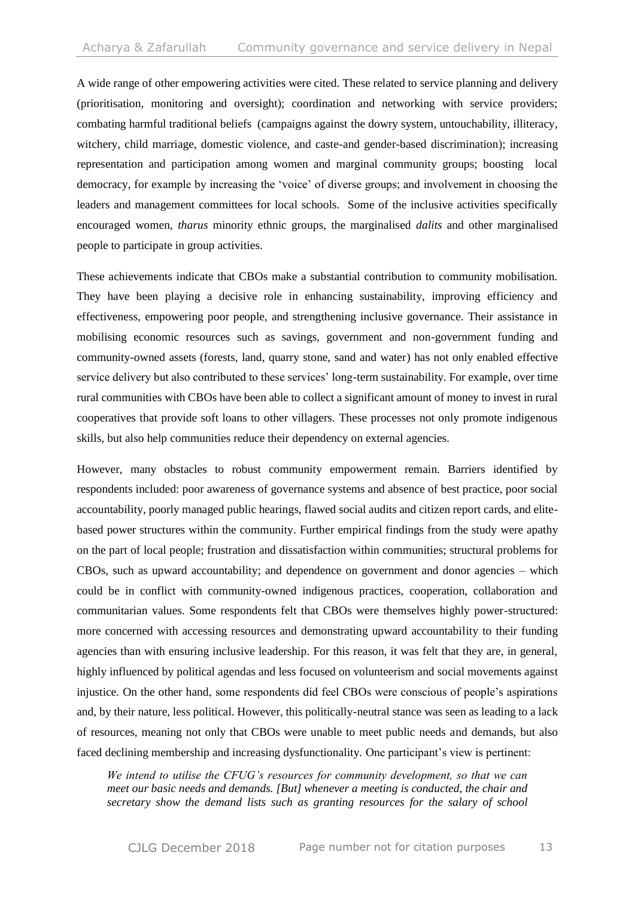A wide range of other empowering activities were cited. These related to service planning and delivery (prioritisation, monitoring and oversight); coordination and networking with service providers; combating harmful traditional beliefs (campaigns against the dowry system, untouchability, illiteracy, witchery, child marriage, domestic violence, and caste-and gender-based discrimination); increasing representation and participation among women and marginal community groups; boosting local democracy, for example by increasing the 'voice' of diverse groups; and involvement in choosing the leaders and management committees for local schools. Some of the inclusive activities specifically encouraged women, *tharus* minority ethnic groups, the marginalised *dalits* and other marginalised people to participate in group activities.

These achievements indicate that CBOs make a substantial contribution to community mobilisation. They have been playing a decisive role in enhancing sustainability, improving efficiency and effectiveness, empowering poor people, and strengthening inclusive governance. Their assistance in mobilising economic resources such as savings, government and non-government funding and community-owned assets (forests, land, quarry stone, sand and water) has not only enabled effective service delivery but also contributed to these services' long-term sustainability. For example, over time rural communities with CBOs have been able to collect a significant amount of money to invest in rural cooperatives that provide soft loans to other villagers. These processes not only promote indigenous skills, but also help communities reduce their dependency on external agencies.

However, many obstacles to robust community empowerment remain. Barriers identified by respondents included: poor awareness of governance systems and absence of best practice, poor social accountability, poorly managed public hearings, flawed social audits and citizen report cards, and elitebased power structures within the community. Further empirical findings from the study were apathy on the part of local people; frustration and dissatisfaction within communities; structural problems for CBOs, such as upward accountability; and dependence on government and donor agencies – which could be in conflict with community-owned indigenous practices, cooperation, collaboration and communitarian values. Some respondents felt that CBOs were themselves highly power-structured: more concerned with accessing resources and demonstrating upward accountability to their funding agencies than with ensuring inclusive leadership. For this reason, it was felt that they are, in general, highly influenced by political agendas and less focused on volunteerism and social movements against injustice. On the other hand, some respondents did feel CBOs were conscious of people's aspirations and, by their nature, less political. However, this politically-neutral stance was seen as leading to a lack of resources, meaning not only that CBOs were unable to meet public needs and demands, but also faced declining membership and increasing dysfunctionality. One participant's view is pertinent:

*We intend to utilise the CFUG's resources for community development, so that we can meet our basic needs and demands. [But] whenever a meeting is conducted, the chair and secretary show the demand lists such as granting resources for the salary of school*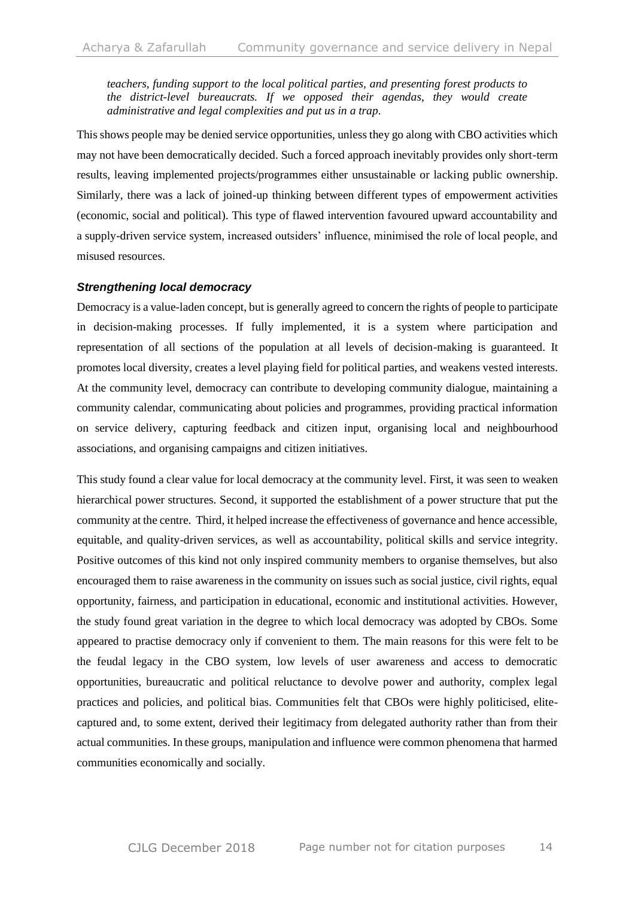*teachers, funding support to the local political parties, and presenting forest products to the district-level bureaucrats. If we opposed their agendas, they would create administrative and legal complexities and put us in a trap.* 

This shows people may be denied service opportunities, unless they go along with CBO activities which may not have been democratically decided. Such a forced approach inevitably provides only short-term results, leaving implemented projects/programmes either unsustainable or lacking public ownership. Similarly, there was a lack of joined-up thinking between different types of empowerment activities (economic, social and political). This type of flawed intervention favoured upward accountability and a supply-driven service system, increased outsiders' influence, minimised the role of local people, and misused resources.

#### *Strengthening local democracy*

Democracy is a value-laden concept, but is generally agreed to concern the rights of people to participate in decision-making processes. If fully implemented, it is a system where participation and representation of all sections of the population at all levels of decision-making is guaranteed. It promotes local diversity, creates a level playing field for political parties, and weakens vested interests. At the community level, democracy can contribute to developing community dialogue, maintaining a community calendar, communicating about policies and programmes, providing practical information on service delivery, capturing feedback and citizen input, organising local and neighbourhood associations, and organising campaigns and citizen initiatives.

This study found a clear value for local democracy at the community level. First, it was seen to weaken hierarchical power structures. Second, it supported the establishment of a power structure that put the community at the centre. Third, it helped increase the effectiveness of governance and hence accessible, equitable, and quality-driven services, as well as accountability, political skills and service integrity. Positive outcomes of this kind not only inspired community members to organise themselves, but also encouraged them to raise awareness in the community on issues such as social justice, civil rights, equal opportunity, fairness, and participation in educational, economic and institutional activities. However, the study found great variation in the degree to which local democracy was adopted by CBOs. Some appeared to practise democracy only if convenient to them. The main reasons for this were felt to be the feudal legacy in the CBO system, low levels of user awareness and access to democratic opportunities, bureaucratic and political reluctance to devolve power and authority, complex legal practices and policies, and political bias. Communities felt that CBOs were highly politicised, elitecaptured and, to some extent, derived their legitimacy from delegated authority rather than from their actual communities. In these groups, manipulation and influence were common phenomena that harmed communities economically and socially.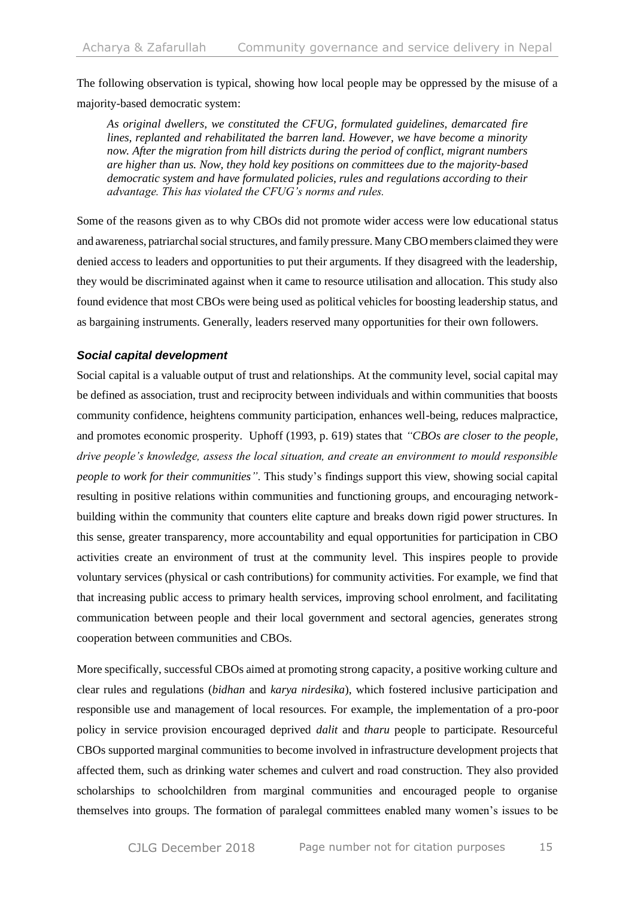The following observation is typical, showing how local people may be oppressed by the misuse of a majority-based democratic system:

*As original dwellers, we constituted the CFUG, formulated guidelines, demarcated fire lines, replanted and rehabilitated the barren land. However, we have become a minority now. After the migration from hill districts during the period of conflict, migrant numbers are higher than us. Now, they hold key positions on committees due to the majority-based democratic system and have formulated policies, rules and regulations according to their advantage. This has violated the CFUG's norms and rules.* 

Some of the reasons given as to why CBOs did not promote wider access were low educational status and awareness, patriarchal social structures, and family pressure. Many CBO members claimed they were denied access to leaders and opportunities to put their arguments. If they disagreed with the leadership, they would be discriminated against when it came to resource utilisation and allocation. This study also found evidence that most CBOs were being used as political vehicles for boosting leadership status, and as bargaining instruments. Generally, leaders reserved many opportunities for their own followers.

#### *Social capital development*

Social capital is a valuable output of trust and relationships. At the community level, social capital may be defined as association, trust and reciprocity between individuals and within communities that boosts community confidence, heightens community participation, enhances well-being, reduces malpractice, and promotes economic prosperity. Uphoff (1993, p. 619) states that *"CBOs are closer to the people, drive people's knowledge, assess the local situation, and create an environment to mould responsible people to work for their communities"*. This study's findings support this view, showing social capital resulting in positive relations within communities and functioning groups, and encouraging networkbuilding within the community that counters elite capture and breaks down rigid power structures. In this sense, greater transparency, more accountability and equal opportunities for participation in CBO activities create an environment of trust at the community level. This inspires people to provide voluntary services (physical or cash contributions) for community activities. For example, we find that that increasing public access to primary health services, improving school enrolment, and facilitating communication between people and their local government and sectoral agencies, generates strong cooperation between communities and CBOs.

More specifically, successful CBOs aimed at promoting strong capacity, a positive working culture and clear rules and regulations (*bidhan* and *karya nirdesika*), which fostered inclusive participation and responsible use and management of local resources. For example, the implementation of a pro-poor policy in service provision encouraged deprived *dalit* and *tharu* people to participate. Resourceful CBOs supported marginal communities to become involved in infrastructure development projects that affected them, such as drinking water schemes and culvert and road construction. They also provided scholarships to schoolchildren from marginal communities and encouraged people to organise themselves into groups. The formation of paralegal committees enabled many women's issues to be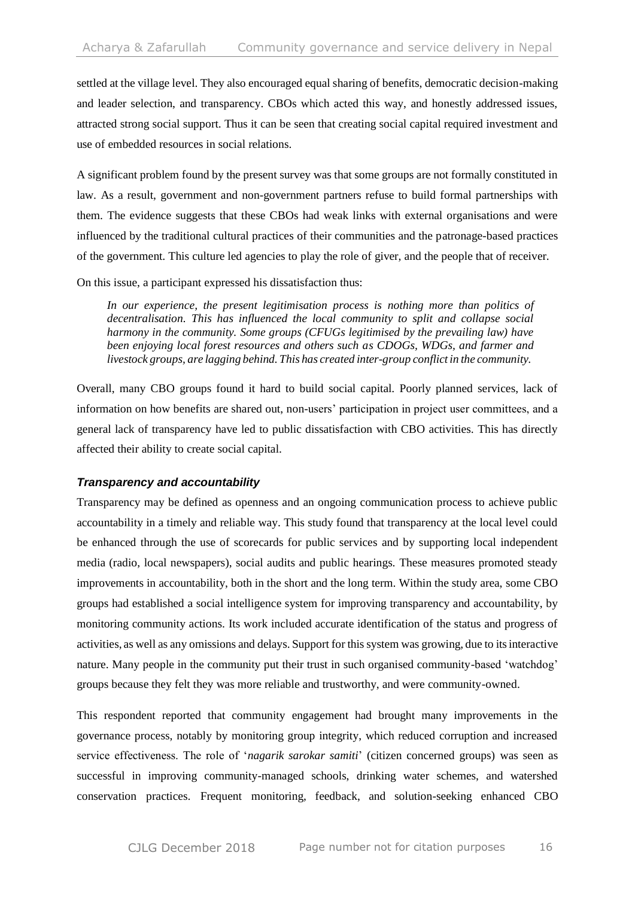settled at the village level. They also encouraged equal sharing of benefits, democratic decision-making and leader selection, and transparency. CBOs which acted this way, and honestly addressed issues, attracted strong social support. Thus it can be seen that creating social capital required investment and use of embedded resources in social relations.

A significant problem found by the present survey was that some groups are not formally constituted in law. As a result, government and non-government partners refuse to build formal partnerships with them. The evidence suggests that these CBOs had weak links with external organisations and were influenced by the traditional cultural practices of their communities and the patronage-based practices of the government. This culture led agencies to play the role of giver, and the people that of receiver.

On this issue, a participant expressed his dissatisfaction thus:

*In our experience, the present legitimisation process is nothing more than politics of decentralisation. This has influenced the local community to split and collapse social harmony in the community. Some groups (CFUGs legitimised by the prevailing law) have been enjoying local forest resources and others such as CDOGs, WDGs, and farmer and livestock groups, are lagging behind. This has created inter-group conflict in the community.*

Overall, many CBO groups found it hard to build social capital. Poorly planned services, lack of information on how benefits are shared out, non-users' participation in project user committees, and a general lack of transparency have led to public dissatisfaction with CBO activities. This has directly affected their ability to create social capital.

#### *Transparency and accountability*

Transparency may be defined as openness and an ongoing communication process to achieve public accountability in a timely and reliable way. This study found that transparency at the local level could be enhanced through the use of scorecards for public services and by supporting local independent media (radio, local newspapers), social audits and public hearings. These measures promoted steady improvements in accountability, both in the short and the long term. Within the study area, some CBO groups had established a social intelligence system for improving transparency and accountability, by monitoring community actions. Its work included accurate identification of the status and progress of activities, as well as any omissions and delays. Support for this system was growing, due to itsinteractive nature. Many people in the community put their trust in such organised community-based 'watchdog' groups because they felt they was more reliable and trustworthy, and were community-owned.

This respondent reported that community engagement had brought many improvements in the governance process, notably by monitoring group integrity, which reduced corruption and increased service effectiveness. The role of '*nagarik sarokar samiti*' (citizen concerned groups) was seen as successful in improving community-managed schools, drinking water schemes, and watershed conservation practices. Frequent monitoring, feedback, and solution-seeking enhanced CBO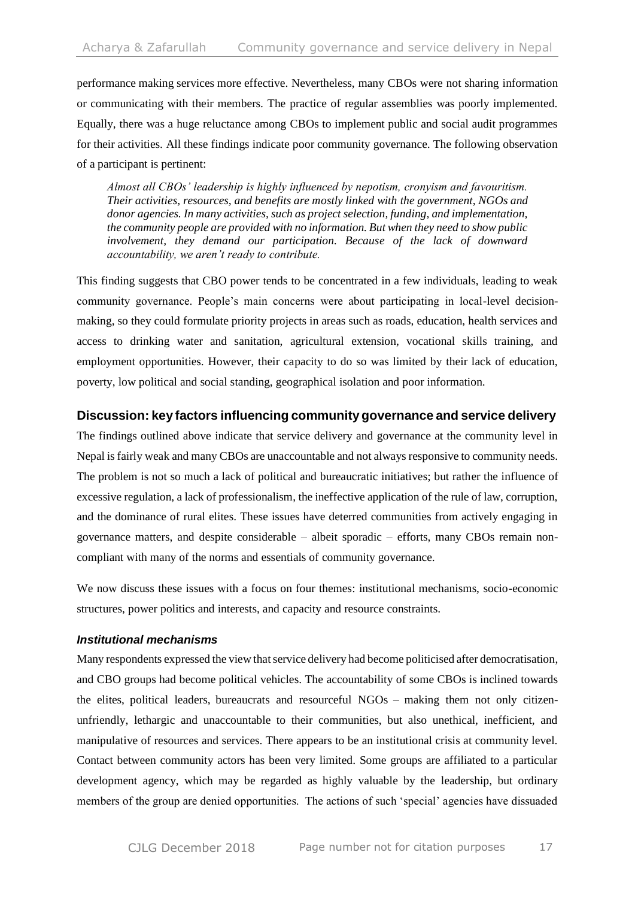performance making services more effective. Nevertheless, many CBOs were not sharing information or communicating with their members. The practice of regular assemblies was poorly implemented. Equally, there was a huge reluctance among CBOs to implement public and social audit programmes for their activities. All these findings indicate poor community governance. The following observation of a participant is pertinent:

*Almost all CBOs' leadership is highly influenced by nepotism, cronyism and favouritism. Their activities, resources, and benefits are mostly linked with the government, NGOs and donor agencies. In many activities, such as project selection, funding, and implementation, the community people are provided with no information. But when they need to show public involvement, they demand our participation. Because of the lack of downward accountability, we aren't ready to contribute.*

This finding suggests that CBO power tends to be concentrated in a few individuals, leading to weak community governance. People's main concerns were about participating in local-level decisionmaking, so they could formulate priority projects in areas such as roads, education, health services and access to drinking water and sanitation, agricultural extension, vocational skills training, and employment opportunities. However, their capacity to do so was limited by their lack of education, poverty, low political and social standing, geographical isolation and poor information.

## **Discussion: key factors influencing community governance and service delivery**

The findings outlined above indicate that service delivery and governance at the community level in Nepal is fairly weak and many CBOs are unaccountable and not always responsive to community needs. The problem is not so much a lack of political and bureaucratic initiatives; but rather the influence of excessive regulation, a lack of professionalism, the ineffective application of the rule of law, corruption, and the dominance of rural elites. These issues have deterred communities from actively engaging in governance matters, and despite considerable – albeit sporadic – efforts, many CBOs remain noncompliant with many of the norms and essentials of community governance.

We now discuss these issues with a focus on four themes: institutional mechanisms, socio-economic structures, power politics and interests, and capacity and resource constraints.

#### *Institutional mechanisms*

Many respondents expressed the view that service delivery had become politicised after democratisation, and CBO groups had become political vehicles. The accountability of some CBOs is inclined towards the elites, political leaders, bureaucrats and resourceful NGOs – making them not only citizenunfriendly, lethargic and unaccountable to their communities, but also unethical, inefficient, and manipulative of resources and services. There appears to be an institutional crisis at community level. Contact between community actors has been very limited. Some groups are affiliated to a particular development agency, which may be regarded as highly valuable by the leadership, but ordinary members of the group are denied opportunities. The actions of such 'special' agencies have dissuaded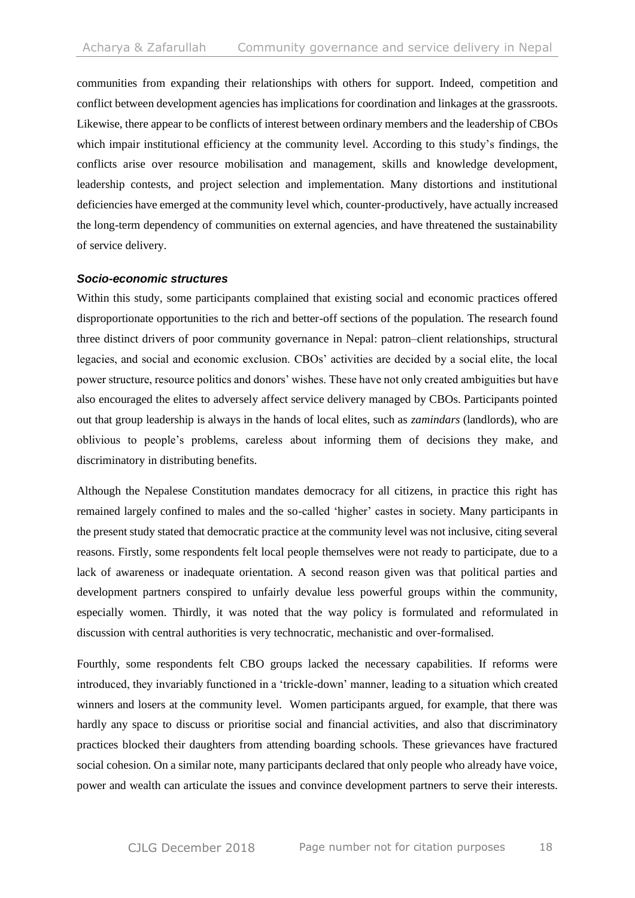communities from expanding their relationships with others for support. Indeed, competition and conflict between development agencies has implications for coordination and linkages at the grassroots. Likewise, there appear to be conflicts of interest between ordinary members and the leadership of CBOs which impair institutional efficiency at the community level. According to this study's findings, the conflicts arise over resource mobilisation and management, skills and knowledge development, leadership contests, and project selection and implementation. Many distortions and institutional deficiencies have emerged at the community level which, counter-productively, have actually increased the long-term dependency of communities on external agencies, and have threatened the sustainability of service delivery.

#### *Socio-economic structures*

Within this study, some participants complained that existing social and economic practices offered disproportionate opportunities to the rich and better-off sections of the population. The research found three distinct drivers of poor community governance in Nepal: patron–client relationships, structural legacies, and social and economic exclusion. CBOs' activities are decided by a social elite, the local power structure, resource politics and donors' wishes. These have not only created ambiguities but have also encouraged the elites to adversely affect service delivery managed by CBOs. Participants pointed out that group leadership is always in the hands of local elites, such as *zamindars* (landlords), who are oblivious to people's problems, careless about informing them of decisions they make, and discriminatory in distributing benefits.

Although the Nepalese Constitution mandates democracy for all citizens, in practice this right has remained largely confined to males and the so-called 'higher' castes in society. Many participants in the present study stated that democratic practice at the community level was not inclusive, citing several reasons. Firstly, some respondents felt local people themselves were not ready to participate, due to a lack of awareness or inadequate orientation. A second reason given was that political parties and development partners conspired to unfairly devalue less powerful groups within the community, especially women. Thirdly, it was noted that the way policy is formulated and reformulated in discussion with central authorities is very technocratic, mechanistic and over-formalised.

Fourthly, some respondents felt CBO groups lacked the necessary capabilities. If reforms were introduced, they invariably functioned in a 'trickle-down' manner, leading to a situation which created winners and losers at the community level. Women participants argued, for example, that there was hardly any space to discuss or prioritise social and financial activities, and also that discriminatory practices blocked their daughters from attending boarding schools. These grievances have fractured social cohesion. On a similar note, many participants declared that only people who already have voice, power and wealth can articulate the issues and convince development partners to serve their interests.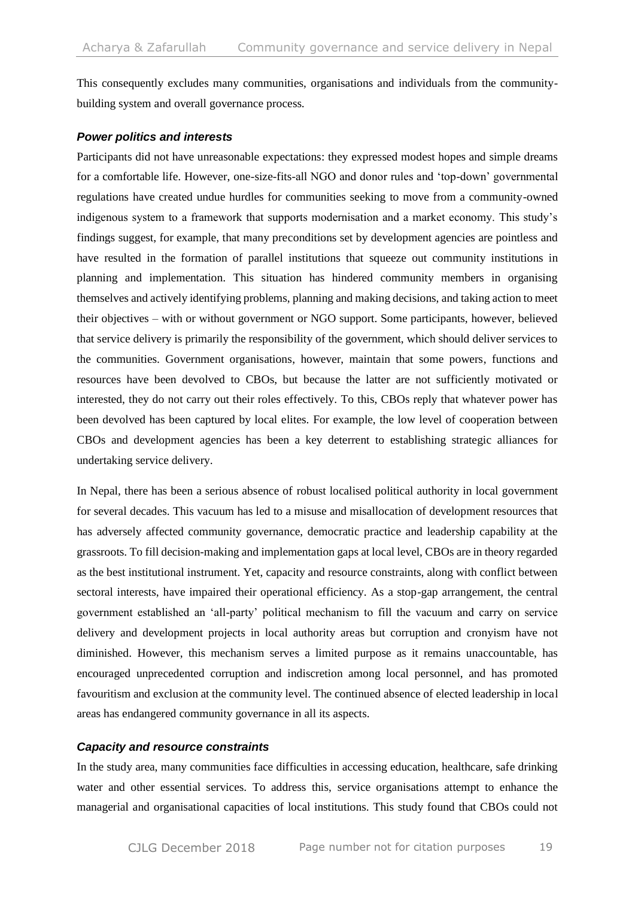This consequently excludes many communities, organisations and individuals from the communitybuilding system and overall governance process.

#### *Power politics and interests*

Participants did not have unreasonable expectations: they expressed modest hopes and simple dreams for a comfortable life. However, one-size-fits-all NGO and donor rules and 'top-down' governmental regulations have created undue hurdles for communities seeking to move from a community-owned indigenous system to a framework that supports modernisation and a market economy. This study's findings suggest, for example, that many preconditions set by development agencies are pointless and have resulted in the formation of parallel institutions that squeeze out community institutions in planning and implementation. This situation has hindered community members in organising themselves and actively identifying problems, planning and making decisions, and taking action to meet their objectives – with or without government or NGO support. Some participants, however, believed that service delivery is primarily the responsibility of the government, which should deliver services to the communities. Government organisations, however, maintain that some powers, functions and resources have been devolved to CBOs, but because the latter are not sufficiently motivated or interested, they do not carry out their roles effectively. To this, CBOs reply that whatever power has been devolved has been captured by local elites. For example, the low level of cooperation between CBOs and development agencies has been a key deterrent to establishing strategic alliances for undertaking service delivery.

In Nepal, there has been a serious absence of robust localised political authority in local government for several decades. This vacuum has led to a misuse and misallocation of development resources that has adversely affected community governance, democratic practice and leadership capability at the grassroots. To fill decision-making and implementation gaps at local level, CBOs are in theory regarded as the best institutional instrument. Yet, capacity and resource constraints, along with conflict between sectoral interests, have impaired their operational efficiency. As a stop-gap arrangement, the central government established an 'all-party' political mechanism to fill the vacuum and carry on service delivery and development projects in local authority areas but corruption and cronyism have not diminished. However, this mechanism serves a limited purpose as it remains unaccountable, has encouraged unprecedented corruption and indiscretion among local personnel, and has promoted favouritism and exclusion at the community level. The continued absence of elected leadership in local areas has endangered community governance in all its aspects.

#### *Capacity and resource constraints*

In the study area, many communities face difficulties in accessing education, healthcare, safe drinking water and other essential services. To address this, service organisations attempt to enhance the managerial and organisational capacities of local institutions. This study found that CBOs could not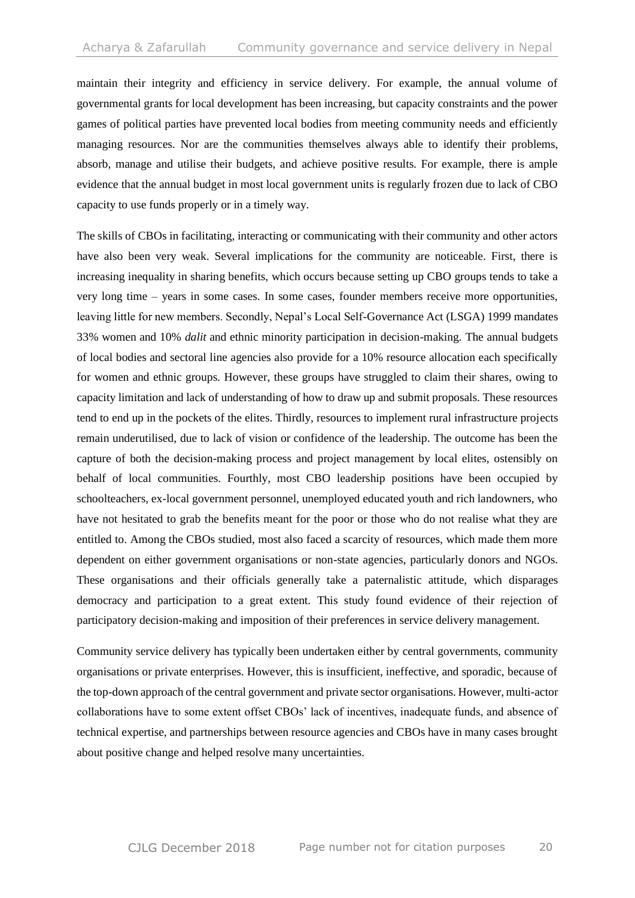maintain their integrity and efficiency in service delivery. For example, the annual volume of governmental grants for local development has been increasing, but capacity constraints and the power games of political parties have prevented local bodies from meeting community needs and efficiently managing resources. Nor are the communities themselves always able to identify their problems, absorb, manage and utilise their budgets, and achieve positive results. For example, there is ample evidence that the annual budget in most local government units is regularly frozen due to lack of CBO capacity to use funds properly or in a timely way.

The skills of CBOs in facilitating, interacting or communicating with their community and other actors have also been very weak. Several implications for the community are noticeable. First, there is increasing inequality in sharing benefits, which occurs because setting up CBO groups tends to take a very long time – years in some cases. In some cases, founder members receive more opportunities, leaving little for new members. Secondly, Nepal's Local Self-Governance Act (LSGA) 1999 mandates 33% women and 10% *dalit* and ethnic minority participation in decision-making. The annual budgets of local bodies and sectoral line agencies also provide for a 10% resource allocation each specifically for women and ethnic groups. However, these groups have struggled to claim their shares, owing to capacity limitation and lack of understanding of how to draw up and submit proposals. These resources tend to end up in the pockets of the elites. Thirdly, resources to implement rural infrastructure projects remain underutilised, due to lack of vision or confidence of the leadership. The outcome has been the capture of both the decision-making process and project management by local elites, ostensibly on behalf of local communities. Fourthly, most CBO leadership positions have been occupied by schoolteachers, ex-local government personnel, unemployed educated youth and rich landowners, who have not hesitated to grab the benefits meant for the poor or those who do not realise what they are entitled to. Among the CBOs studied, most also faced a scarcity of resources, which made them more dependent on either government organisations or non-state agencies, particularly donors and NGOs. These organisations and their officials generally take a paternalistic attitude, which disparages democracy and participation to a great extent. This study found evidence of their rejection of participatory decision-making and imposition of their preferences in service delivery management.

Community service delivery has typically been undertaken either by central governments, community organisations or private enterprises. However, this is insufficient, ineffective, and sporadic, because of the top-down approach of the central government and private sector organisations. However, multi-actor collaborations have to some extent offset CBOs' lack of incentives, inadequate funds, and absence of technical expertise, and partnerships between resource agencies and CBOs have in many cases brought about positive change and helped resolve many uncertainties.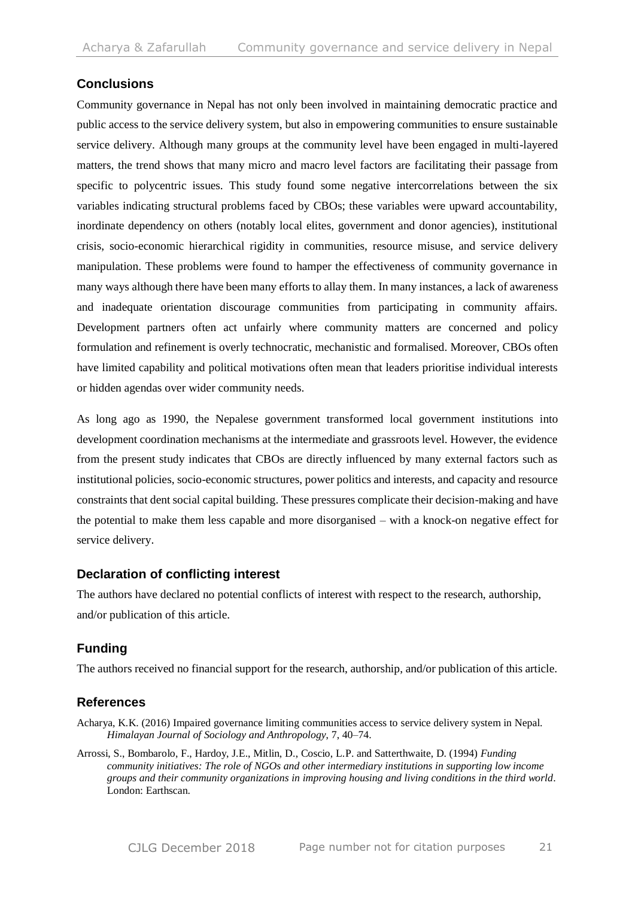## **Conclusions**

Community governance in Nepal has not only been involved in maintaining democratic practice and public access to the service delivery system, but also in empowering communities to ensure sustainable service delivery. Although many groups at the community level have been engaged in multi-layered matters, the trend shows that many micro and macro level factors are facilitating their passage from specific to polycentric issues. This study found some negative intercorrelations between the six variables indicating structural problems faced by CBOs; these variables were upward accountability, inordinate dependency on others (notably local elites, government and donor agencies), institutional crisis, socio-economic hierarchical rigidity in communities, resource misuse, and service delivery manipulation. These problems were found to hamper the effectiveness of community governance in many ways although there have been many efforts to allay them. In many instances, a lack of awareness and inadequate orientation discourage communities from participating in community affairs. Development partners often act unfairly where community matters are concerned and policy formulation and refinement is overly technocratic, mechanistic and formalised. Moreover, CBOs often have limited capability and political motivations often mean that leaders prioritise individual interests or hidden agendas over wider community needs.

As long ago as 1990, the Nepalese government transformed local government institutions into development coordination mechanisms at the intermediate and grassroots level. However, the evidence from the present study indicates that CBOs are directly influenced by many external factors such as institutional policies, socio-economic structures, power politics and interests, and capacity and resource constraints that dent social capital building. These pressures complicate their decision-making and have the potential to make them less capable and more disorganised – with a knock-on negative effect for service delivery.

#### **Declaration of conflicting interest**

The authors have declared no potential conflicts of interest with respect to the research, authorship, and/or publication of this article.

## **Funding**

The authors received no financial support for the research, authorship, and/or publication of this article.

#### **References**

Acharya, K.K. (2016) Impaired governance limiting communities access to service delivery system in Nepal. *Himalayan Journal of Sociology and Anthropology*, 7, 40–74.

Arrossi, S., Bombarolo, F., Hardoy, J.E., Mitlin, D., Coscio, L.P. and Satterthwaite, D. (1994) *Funding community initiatives: The role of NGOs and other intermediary institutions in supporting low income groups and their community organizations in improving housing and living conditions in the third world*. London: Earthscan.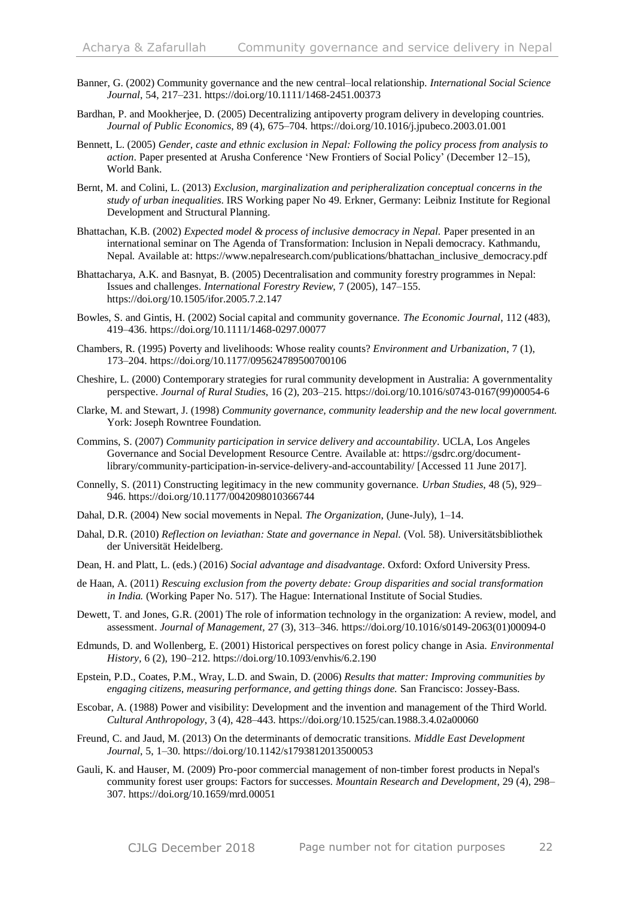- Banner, G. (2002) Community governance and the new central–local relationship. *International Social Science Journal*, 54, 217–231. https://doi.org/10.1111/1468-2451.00373
- Bardhan, P. and Mookherjee, D. (2005) Decentralizing antipoverty program delivery in developing countries. *Journal of Public Economics*, 89 (4), 675–704. https://doi.org/10.1016/j.jpubeco.2003.01.001
- Bennett, L. (2005) *Gender, caste and ethnic exclusion in Nepal: Following the policy process from analysis to action*. Paper presented at Arusha Conference 'New Frontiers of Social Policy' (December 12–15), World Bank.
- Bernt, M. and Colini, L. (2013) *Exclusion, marginalization and peripheralization conceptual concerns in the study of urban inequalities*. IRS Working paper No 49. Erkner, Germany: Leibniz Institute for Regional Development and Structural Planning.
- Bhattachan, K.B. (2002) *Expected model & process of inclusive democracy in Nepal.* Paper presented in an international seminar on The Agenda of Transformation: Inclusion in Nepali democracy. Kathmandu, Nepal. Available at: https://www.nepalresearch.com/publications/bhattachan\_inclusive\_democracy.pdf
- Bhattacharya, A.K. and Basnyat, B. (2005) Decentralisation and community forestry programmes in Nepal: Issues and challenges. *International Forestry Review*, 7 (2005), 147–155. https://doi.org/10.1505/ifor.2005.7.2.147
- Bowles, S. and Gintis, H. (2002) Social capital and community governance. *The Economic Journal*, 112 (483), 419–436. https://doi.org/10.1111/1468-0297.00077
- Chambers, R. (1995) Poverty and livelihoods: Whose reality counts? *Environment and Urbanization*, 7 (1), 173–204. https://doi.org/10.1177/095624789500700106
- Cheshire, L. (2000) Contemporary strategies for rural community development in Australia: A governmentality perspective. *Journal of Rural Studies*, 16 (2), 203–215. https://doi.org/10.1016/s0743-0167(99)00054-6
- Clarke, M. and Stewart, J. (1998) *Community governance, community leadership and the new local government.*  York: Joseph Rowntree Foundation.
- Commins, S. (2007) *Community participation in service delivery and accountability*. UCLA, Los Angeles Governance and Social Development Resource Centre. Available at: https://gsdrc.org/documentlibrary/community-participation-in-service-delivery-and-accountability/ [Accessed 11 June 2017].
- Connelly, S. (2011) Constructing legitimacy in the new community governance. *Urban Studies*, 48 (5), 929– 946. https://doi.org/10.1177/0042098010366744
- Dahal, D.R. (2004) New social movements in Nepal. *The Organization*, (June-July), 1–14.
- Dahal, D.R. (2010) *Reflection on leviathan: State and governance in Nepal.* (Vol. 58). Universitätsbibliothek der Universität Heidelberg.
- Dean, H. and Platt, L. (eds.) (2016) *Social advantage and disadvantage*. Oxford: Oxford University Press.
- de Haan, A. (2011) *Rescuing exclusion from the poverty debate: Group disparities and social transformation in India.* (Working Paper No. 517). The Hague: International Institute of Social Studies.
- Dewett, T. and Jones, G.R. (2001) The role of information technology in the organization: A review, model, and assessment. *Journal of Management,* 27 (3), 313–346. https://doi.org/10.1016/s0149-2063(01)00094-0
- Edmunds, D. and Wollenberg, E. (2001) Historical perspectives on forest policy change in Asia. *Environmental History,* 6 (2), 190–212. https://doi.org/10.1093/envhis/6.2.190
- Epstein, P.D., Coates, P.M., Wray, L.D. and Swain, D. (2006) *Results that matter: Improving communities by engaging citizens, measuring performance, and getting things done.* San Francisco: Jossey-Bass.
- Escobar, A. (1988) Power and visibility: Development and the invention and management of the Third World. *Cultural Anthropology*, 3 (4), 428–443. https://doi.org/10.1525/can.1988.3.4.02a00060
- Freund, C. and Jaud, M. (2013) On the determinants of democratic transitions. *Middle East Development Journal*, 5, 1–30. https://doi.org/10.1142/s1793812013500053
- Gauli, K. and Hauser, M. (2009) Pro-poor commercial management of non-timber forest products in Nepal's community forest user groups: Factors for successes. *Mountain Research and Development*, 29 (4), 298– 307. https://doi.org/10.1659/mrd.00051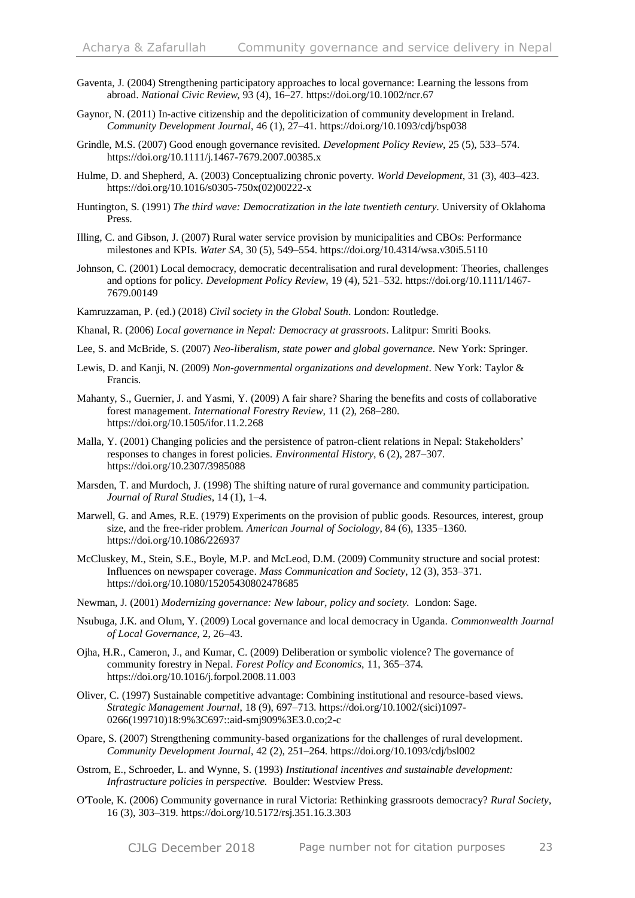- Gaventa, J. (2004) Strengthening participatory approaches to local governance: Learning the lessons from abroad. *National Civic Review*, 93 (4), 16–27. https://doi.org/10.1002/ncr.67
- Gaynor, N. (2011) In-active citizenship and the depoliticization of community development in Ireland. *Community Development Journal*, 46 (1), 27–41. https://doi.org/10.1093/cdj/bsp038
- Grindle, M.S. (2007) Good enough governance revisited. *Development Policy Review*, 25 (5), 533–574. https://doi.org/10.1111/j.1467-7679.2007.00385.x
- Hulme, D. and Shepherd, A. (2003) Conceptualizing chronic poverty. *World Development*, 31 (3), 403–423. https://doi.org/10.1016/s0305-750x(02)00222-x
- Huntington, S. (1991) *The third wave: Democratization in the late twentieth century*. University of Oklahoma Press.
- Illing, C. and Gibson, J. (2007) Rural water service provision by municipalities and CBOs: Performance milestones and KPIs. *Water SA*, 30 (5), 549–554. https://doi.org/10.4314/wsa.v30i5.5110
- Johnson, C. (2001) Local democracy, democratic decentralisation and rural development: Theories, challenges and options for policy. *Development Policy Review*, 19 (4), 521–532. https://doi.org/10.1111/1467- 7679.00149
- Kamruzzaman, P. (ed.) (2018) *Civil society in the Global South*. London: Routledge.
- Khanal, R. (2006) *Local governance in Nepal: Democracy at grassroots*. Lalitpur: Smriti Books.
- Lee, S. and McBride, S. (2007) *Neo-liberalism, state power and global governance.* New York: Springer.
- Lewis, D. and Kanji, N. (2009) *Non-governmental organizations and development*. New York: Taylor & Francis.
- Mahanty, S., Guernier, J. and Yasmi, Y. (2009) A fair share? Sharing the benefits and costs of collaborative forest management. *International Forestry Review*, 11 (2), 268–280. https://doi.org/10.1505/ifor.11.2.268
- Malla, Y. (2001) Changing policies and the persistence of patron-client relations in Nepal: Stakeholders' responses to changes in forest policies. *Environmental History*, 6 (2), 287–307. https://doi.org/10.2307/3985088
- Marsden, T. and Murdoch, J. (1998) The shifting nature of rural governance and community participation. *Journal of Rural Studies*, 14 (1), 1–4.
- Marwell, G. and Ames, R.E. (1979) Experiments on the provision of public goods. Resources, interest, group size, and the free-rider problem. *American Journal of Sociology*, 84 (6), 1335–1360. https://doi.org/10.1086/226937
- McCluskey, M., Stein, S.E., Boyle, M.P. and McLeod, D.M. (2009) Community structure and social protest: Influences on newspaper coverage. *Mass Communication and Society*, 12 (3), 353–371. https://doi.org/10.1080/15205430802478685
- Newman, J. (2001) *Modernizing governance: New labour, policy and society.* London: Sage.
- Nsubuga, J.K. and Olum, Y. (2009) Local governance and local democracy in Uganda. *Commonwealth Journal of Local Governance*, 2, 26–43.
- Ojha, H.R., Cameron, J., and Kumar, C. (2009) Deliberation or symbolic violence? The governance of community forestry in Nepal. *Forest Policy and Economics*, 11, 365–374. https://doi.org/10.1016/j.forpol.2008.11.003
- Oliver, C. (1997) Sustainable competitive advantage: Combining institutional and resource-based views. *Strategic Management Journal*, 18 (9), 697–713. https://doi.org/10.1002/(sici)1097- 0266(199710)18:9%3C697::aid-smj909%3E3.0.co;2-c
- Opare, S. (2007) Strengthening community-based organizations for the challenges of rural development. *Community Development Journal*, 42 (2), 251–264. https://doi.org/10.1093/cdj/bsl002
- Ostrom, E., Schroeder, L. and Wynne, S. (1993) *Institutional incentives and sustainable development: Infrastructure policies in perspective.* Boulder: Westview Press.
- O'Toole, K. (2006) Community governance in rural Victoria: Rethinking grassroots democracy? *Rural Society*, 16 (3), 303–319. https://doi.org/10.5172/rsj.351.16.3.303